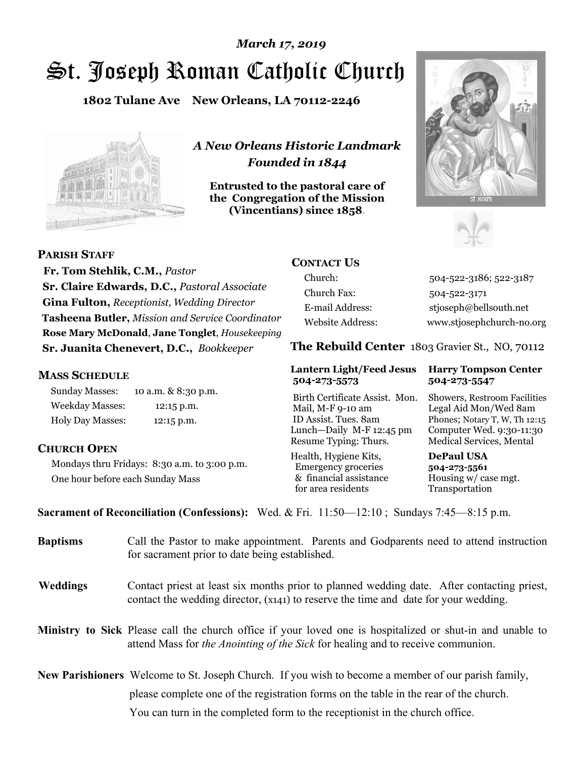# St. Joseph Roman Catholic Church *March 17, 2019*

**1802 Tulane Ave New Orleans, LA 70112-2246**



*A New Orleans Historic Landmark Founded in 1844* 

**Entrusted to the pastoral care of the Congregation of the Mission (Vincentians) since 1858**.





**PARISH STAFF**

 **Fr. Tom Stehlik, C.M.,** *Pastor* **Sr. Claire Edwards, D.C.,** *Pastoral Associate* **Gina Fulton,** *Receptionist, Wedding Director* **Tasheena Butler,** *Mission and Service Coordinator* **Rose Mary McDonald**, **Jane Tonglet**, *Housekeeping* **Sr. Juanita Chenevert, D.C.,** *Bookkeeper* 

### **MASS SCHEDULE**

Sunday Masses: 10 a.m. & 8:30 p.m. Weekday Masses: 12:15 p.m. Holy Day Masses: 12:15 p.m.

### **CHURCH OPEN**

Mondays thru Fridays: 8:30 a.m. to 3:00 p.m. One hour before each Sunday Mass

# **CONTACT US**

Church: 504-522-3186; 522-3187 Church Fax: 504-522-3171 E-mail Address: stjoseph@bellsouth.net Website Address: www.stjosephchurch-no.org

**The Rebuild Center** 1803 Gravier St., NO, 70112

### **Lantern Light/Feed Jesus Harry Tompson Center 504-273-5573 504-273-5547**

Birth Certificate Assist. Mon. Showers, Restroom Facilities Mail, M-F 9-10 am Legal Aid Mon/Wed 8am ID Assist. Tues. 8am Phones; Notary T, W, Th 12:15 Lunch—Daily M-F 12:45 pm Computer Wed. 9:30-11:30 Resume Typing: Thurs. Medical Services, Mental

Health, Hygiene Kits, **DePaul USA**  Emergency groceries **504-273-5561** & financial assistance Housing w/ case mgt. for area residents Transportation

**Sacrament of Reconciliation (Confessions):** Wed. & Fri. 11:50—12:10 ; Sundays 7:45—8:15 p.m.

| <b>Baptisms</b> | Call the Pastor to make appointment. Parents and Godparents need to attend instruction<br>for sacrament prior to date being established.                                                                   |  |
|-----------------|------------------------------------------------------------------------------------------------------------------------------------------------------------------------------------------------------------|--|
| <b>Weddings</b> | Contact priest at least six months prior to planned wedding date. After contacting priest,<br>contact the wedding director, (x141) to reserve the time and date for your wedding.                          |  |
|                 | <b>Ministry to Sick</b> Please call the church office if your loved one is hospitalized or shut-in and unable to<br>attend Mass for <i>the Anointing of the Sick</i> for healing and to receive communion. |  |
|                 | <b>New Parishioners</b> Welcome to St. Joseph Church. If you wish to become a member of our parish family,                                                                                                 |  |
|                 | please complete one of the registration forms on the table in the rear of the church.                                                                                                                      |  |
|                 | You can turn in the completed form to the receptionist in the church office.                                                                                                                               |  |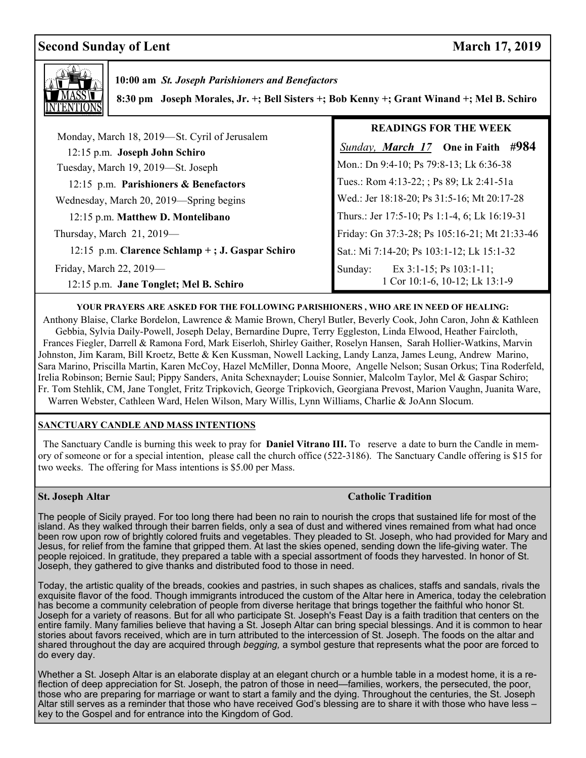# **Second Sunday of Lent** March 17, 2019



 **10:00 am** *St. Joseph Parishioners and Benefactors*

 **8:30 pm Joseph Morales, Jr. +; Bell Sisters +; Bob Kenny +; Grant Winand +; Mel B. Schiro**

|                                                                                | <b>READINGS FOR THE WEEK</b>                  |
|--------------------------------------------------------------------------------|-----------------------------------------------|
| Monday, March 18, 2019—St. Cyril of Jerusalem<br>12:15 p.m. Joseph John Schiro | <b>Sunday, March 17</b> One in Faith #984     |
| Tuesday, March 19, 2019—St. Joseph                                             | Mon.: Dn 9:4-10; Ps 79:8-13; Lk 6:36-38       |
| 12:15 p.m. Parishioners & Benefactors                                          | Tues.: Rom 4:13-22; ; Ps 89; Lk 2:41-51a      |
| Wednesday, March 20, 2019-Spring begins                                        | Wed.: Jer 18:18-20; Ps 31:5-16; Mt 20:17-28   |
| 12:15 p.m. Matthew D. Montelibano                                              | Thurs.: Jer 17:5-10; Ps 1:1-4, 6; Lk 16:19-31 |
| Thursday, March 21, 2019-                                                      | Friday: Gn 37:3-28; Ps 105:16-21; Mt 21:33-46 |
| 12:15 p.m. Clarence Schlamp + ; J. Gaspar Schiro                               | Sat.: Mi 7:14-20; Ps 103:1-12; Lk 15:1-32     |
| Friday, March 22, 2019-                                                        | Ex $3:1-15$ ; Ps $103:1-11$ ;<br>Sunday:      |
| 12:15 p.m. Jane Tonglet; Mel B. Schiro                                         | 1 Cor 10:1-6, 10-12; Lk 13:1-9                |

### **YOUR PRAYERS ARE ASKED FOR THE FOLLOWING PARISHIONERS , WHO ARE IN NEED OF HEALING:**

 Anthony Blaise, Clarke Bordelon, Lawrence & Mamie Brown, Cheryl Butler, Beverly Cook, John Caron, John & Kathleen Gebbia, Sylvia Daily-Powell, Joseph Delay, Bernardine Dupre, Terry Eggleston, Linda Elwood, Heather Faircloth, Frances Fiegler, Darrell & Ramona Ford, Mark Eiserloh, Shirley Gaither, Roselyn Hansen, Sarah Hollier-Watkins, Marvin Johnston, Jim Karam, Bill Kroetz, Bette & Ken Kussman, Nowell Lacking, Landy Lanza, James Leung, Andrew Marino, Sara Marino, Priscilla Martin, Karen McCoy, Hazel McMiller, Donna Moore, Angelle Nelson; Susan Orkus; Tina Roderfeld, Irelia Robinson; Bernie Saul; Pippy Sanders, Anita Schexnayder; Louise Sonnier, Malcolm Taylor, Mel & Gaspar Schiro; Fr. Tom Stehlik, CM, Jane Tonglet, Fritz Tripkovich, George Tripkovich, Georgiana Prevost, Marion Vaughn, Juanita Ware, Warren Webster, Cathleen Ward, Helen Wilson, Mary Willis, Lynn Williams, Charlie & JoAnn Slocum.

### **SANCTUARY CANDLE AND MASS INTENTIONS**

 The Sanctuary Candle is burning this week to pray for **Daniel Vitrano III.** To reserve a date to burn the Candle in memory of someone or for a special intention, please call the church office (522-3186). The Sanctuary Candle offering is \$15 for two weeks. The offering for Mass intentions is \$5.00 per Mass.

### **St. Joseph Altar Catholic Tradition <b>Catholic Tradition Catholic Tradition**

 island. As they walked through their barren fields, only a sea of dust and withered vines remained from what had once The people of Sicily prayed. For too long there had been no rain to nourish the crops that sustained life for most of the been row upon row of brightly colored fruits and vegetables. They pleaded to St. Joseph, who had provided for Mary and Jesus, for relief from the famine that gripped them. At last the skies opened, sending down the life-giving water. The people rejoiced. In gratitude, they prepared a table with a special assortment of foods they harvested. In honor of St. Joseph, they gathered to give thanks and distributed food to those in need.

Today, the artistic quality of the breads, cookies and pastries, in such shapes as chalices, staffs and sandals, rivals the exquisite flavor of the food. Though immigrants introduced the custom of the Altar here in America, today the celebration has become a community celebration of people from diverse heritage that brings together the faithful who honor St. Joseph for a variety of reasons. But for all who participate St. Joseph's Feast Day is a faith tradition that centers on the entire family. Many families believe that having a St. Joseph Altar can bring special blessings. And it is common to hear stories about favors received, which are in turn attributed to the intercession of St. Joseph. The foods on the altar and shared throughout the day are acquired through *begging,* a symbol gesture that represents what the poor are forced to do every day.

Whether a St. Joseph Altar is an elaborate display at an elegant church or a humble table in a modest home, it is a reflection of deep appreciation for St. Joseph, the patron of those in need—families, workers, the persecuted, the poor, those who are preparing for marriage or want to start a family and the dying. Throughout the centuries, the St. Joseph Altar still serves as a reminder that those who have received God's blessing are to share it with those who have less – key to the Gospel and for entrance into the Kingdom of God.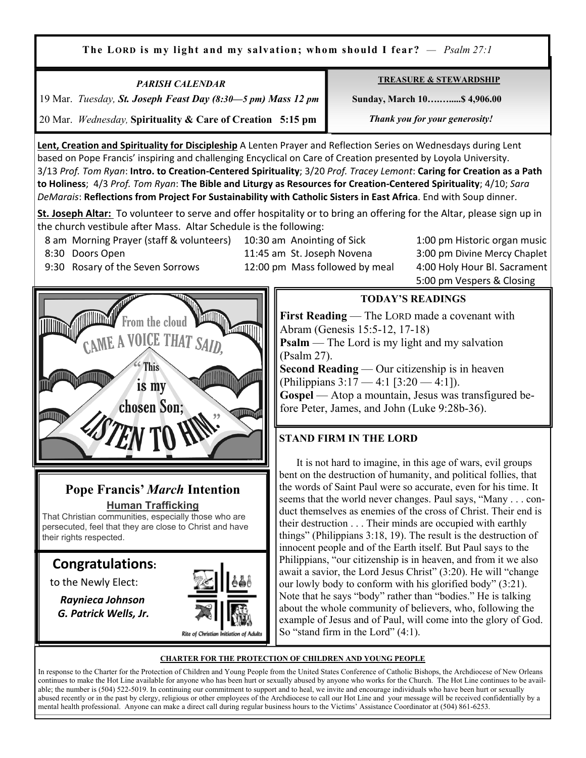**The LORD is my light and my salvation; whom should I fear?** *— Psalm 27:1*

*PARISH CALENDAR*  19 Mar. *Tuesday, St. Joseph Feast Day (8:30—5 pm) Mass 12 pm* 20 Mar. *Wednesday,* **Spirituality & Care of Creation 5:15 pm**

**TREASURE & STEWARDSHIP**

 **Sunday, March 10….….....\$ 4,906.00** 

 *Thank you for your generosity!* 

**Lent, Creation and Spirituality for Discipleship** A Lenten Prayer and Reflection Series on Wednesdays during Lent based on Pope Francis' inspiring and challenging Encyclical on Care of Creation presented by Loyola University. 3/13 *Prof. Tom Ryan*: **Intro. to Creation-Centered Spirituality**; 3/20 *Prof. Tracey Lemont*: **Caring for Creation as a Path to Holiness**; 4/3 *Prof. Tom Ryan*: **The Bible and Liturgy as Resources for Creation-Centered Spirituality**; 4/10; *Sara DeMarais*: **Reflections from Project For Sustainability with Catholic Sisters in East Africa**. End with Soup dinner.

**St. Joseph Altar:** To volunteer to serve and offer hospitality or to bring an offering for the Altar, please sign up in the church vestibule after Mass. Altar Schedule is the following:

8 am Morning Prayer (staff & volunteers) 10:30 am Anointing of Sick 1:00 pm Historic organ music

Ξ

 8:30 Doors Open 11:45 am St. Joseph Novena 3:00 pm Divine Mercy Chaplet 5:00 pm Vespers & Closing

### 9:30 Rosary of the Seven Sorrows 12:00 pm Mass followed by meal 4:00 Holy Hour Bl. Sacrament



# **Pope Francis'** *March* **Intention Human Trafficking**

That Christian communities, especially those who are persecuted, feel that they are close to Christ and have their rights respected.

# **Congratulations:**

to the Newly Elect:

 *Raynieca Johnson G. Patrick Wells, Jr.* 



# **TODAY'S READINGS**

**First Reading** — The LORD made a covenant with Abram (Genesis 15:5-12, 17-18) **Psalm** — The Lord is my light and my salvation (Psalm 27). **Second Reading** — Our citizenship is in heaven (Philippians 3:17 — 4:1 [3:20 — 4:1]).

**Gospel** — Atop a mountain, Jesus was transfigured before Peter, James, and John (Luke 9:28b-36).

# **STAND FIRM IN THE LORD**

 It is not hard to imagine, in this age of wars, evil groups bent on the destruction of humanity, and political follies, that the words of Saint Paul were so accurate, even for his time. It seems that the world never changes. Paul says, "Many . . . conduct themselves as enemies of the cross of Christ. Their end is their destruction . . . Their minds are occupied with earthly things" (Philippians 3:18, 19). The result is the destruction of innocent people and of the Earth itself. But Paul says to the Philippians, "our citizenship is in heaven, and from it we also await a savior, the Lord Jesus Christ" (3:20). He will "change our lowly body to conform with his glorified body" (3:21). Note that he says "body" rather than "bodies." He is talking about the whole community of believers, who, following the example of Jesus and of Paul, will come into the glory of God. So "stand firm in the Lord"  $(4:1)$ .

### **CHARTER FOR THE PROTECTION OF CHILDREN AND YOUNG PEOPLE**

In response to the Charter for the Protection of Children and Young People from the United States Conference of Catholic Bishops, the Archdiocese of New Orleans continues to make the Hot Line available for anyone who has been hurt or sexually abused by anyone who works for the Church. The Hot Line continues to be available; the number is (504) 522-5019. In continuing our commitment to support and to heal, we invite and encourage individuals who have been hurt or sexually abused recently or in the past by clergy, religious or other employees of the Archdiocese to call our Hot Line and your message will be received confidentially by a mental health professional. Anyone can make a direct call during regular business hours to the Victims' Assistance Coordinator at (504) 861-6253.